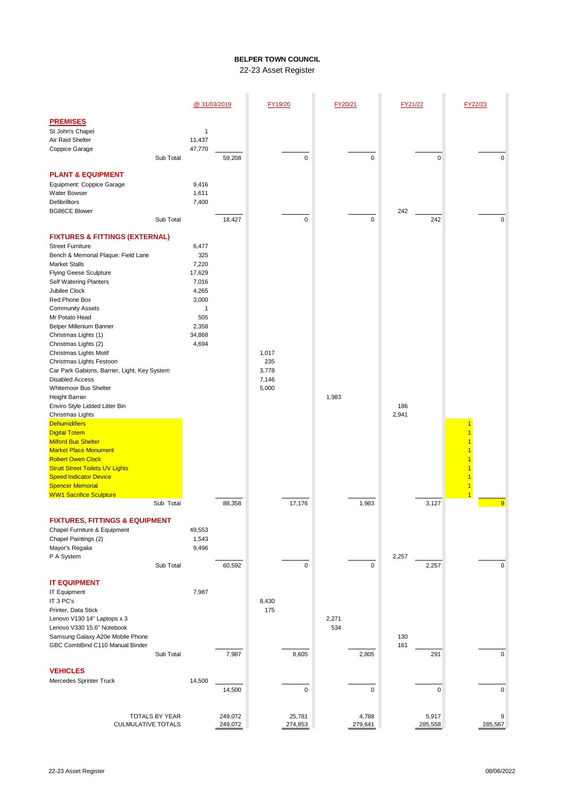## **BELPER TOWN COUNCIL** 22-23 Asset Register

|                                                                                                                                                                                                                                                                                                                                                                                                                                                                                                                                                                                                                                                                                                                                                                                                                                                         |           | @ 31/03/2019                                                                                       |                    | FY19/20                                 |                    | FY20/21      |                  | FY21/22      |                  | FY22/23 |                            |
|---------------------------------------------------------------------------------------------------------------------------------------------------------------------------------------------------------------------------------------------------------------------------------------------------------------------------------------------------------------------------------------------------------------------------------------------------------------------------------------------------------------------------------------------------------------------------------------------------------------------------------------------------------------------------------------------------------------------------------------------------------------------------------------------------------------------------------------------------------|-----------|----------------------------------------------------------------------------------------------------|--------------------|-----------------------------------------|--------------------|--------------|------------------|--------------|------------------|---------|----------------------------|
| <b>PREMISES</b><br>St John's Chapel<br>Air Raid Shelter<br>Coppice Garage                                                                                                                                                                                                                                                                                                                                                                                                                                                                                                                                                                                                                                                                                                                                                                               | Sub Total | 1<br>11,437<br>47,770                                                                              | 59,208             |                                         | $\pmb{0}$          |              | 0                |              | 0                |         | 0                          |
| <b>PLANT &amp; EQUIPMENT</b><br>Equipment: Coppice Garage<br>Water Bowser<br>Defibrilltors<br><b>BG86CE Blower</b>                                                                                                                                                                                                                                                                                                                                                                                                                                                                                                                                                                                                                                                                                                                                      |           | 9,416<br>1,611                                                                                     |                    |                                         |                    |              |                  |              |                  |         |                            |
|                                                                                                                                                                                                                                                                                                                                                                                                                                                                                                                                                                                                                                                                                                                                                                                                                                                         | Sub Total | 7,400                                                                                              | 18,427             |                                         | $\pmb{0}$          |              | 0                | 242          | 242              |         | 0                          |
| <b>FIXTURES &amp; FITTINGS (EXTERNAL)</b><br><b>Street Furniture</b><br>Bench & Memorial Plaque: Field Lane<br><b>Market Stalls</b><br><b>Flying Geese Sculpture</b><br><b>Self Watering Planters</b><br>Jubilee Clock<br>Red Phone Box<br><b>Community Assets</b><br>Mr Potato Head<br>Belper Millenium Banner<br>Christmas Lights (1)<br>Christmas Lights (2)<br>Christmas Lights Motif<br>Christmas Lights Festoon<br>Car Park Gabions, Barrier, Light, Key System<br><b>Disabled Access</b><br>Whitemoor Bus Shelter<br><b>Height Barrier</b><br>Enviro Style Lidded Litter Bin<br>Christmas Lights<br><b>Dehumidifiers</b><br><b>Digital Totem</b><br><b>Milford Bus Shelter</b><br><b>Market Place Monument</b><br><b>Robert Owen Clock</b><br><b>Strutt Street Toilets UV Lights</b><br><b>Speed Indicator Device</b><br><b>Spencer Memorial</b> |           | 6,477<br>325<br>7,220<br>17,629<br>7,016<br>4,265<br>3,000<br>1<br>505<br>2,358<br>34,868<br>4,694 |                    | 1,017<br>235<br>3,778<br>7,146<br>5,000 |                    | 1,983        |                  | 186<br>2,941 |                  |         |                            |
| <b>WW1 Sacrifice Sculpture</b>                                                                                                                                                                                                                                                                                                                                                                                                                                                                                                                                                                                                                                                                                                                                                                                                                          | Sub Total |                                                                                                    | 88,358             |                                         | 17,176             |              | 1,983            |              | 3,127            | 1       | $\overline{9}$             |
| <b>FIXTURES, FITTINGS &amp; EQUIPMENT</b><br>Chapel Furniture & Equipment<br>Chapel Paintings (2)<br>Mayor's Regalia<br>P A System                                                                                                                                                                                                                                                                                                                                                                                                                                                                                                                                                                                                                                                                                                                      | Sub Total | 49,553<br>1,543<br>9,496                                                                           | 60,592             |                                         | 0                  |              | 0                | 2,257        | 2,257            |         | $\mathbf 0$                |
| <b>IT EQUIPMENT</b><br>IT Equipment<br>IT 3 PC's<br>Printer, Data Stick<br>Lenovo V130 14" Laptops x 3<br>Lenovo V330 15.6" Notebook<br>Samsung Galaxy A20e Mobile Phone<br>GBC CombBind C110 Manual Binder                                                                                                                                                                                                                                                                                                                                                                                                                                                                                                                                                                                                                                             |           | 7,987                                                                                              |                    | 8,430<br>175                            |                    | 2,271<br>534 |                  | 130<br>161   |                  |         |                            |
| <b>VEHICLES</b><br>Mercedes Sprinter Truck                                                                                                                                                                                                                                                                                                                                                                                                                                                                                                                                                                                                                                                                                                                                                                                                              | Sub Total | 14,500                                                                                             | 7,987<br>14,500    |                                         | 8,605<br>$\pmb{0}$ |              | 2,805<br>0       |              | 291<br>0         |         | $\mathbf 0$<br>$\mathbf 0$ |
| TOTALS BY YEAR<br><b>CULMULATIVE TOTALS</b>                                                                                                                                                                                                                                                                                                                                                                                                                                                                                                                                                                                                                                                                                                                                                                                                             |           |                                                                                                    | 249,072<br>249,072 |                                         | 25,781<br>274,853  |              | 4,788<br>279,641 |              | 5,917<br>285,558 |         | 9<br>285,567               |